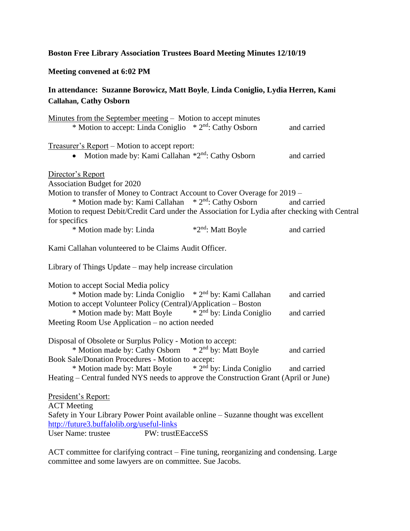# **Boston Free Library Association Trustees Board Meeting Minutes 12/10/19**

**Meeting convened at 6:02 PM**

# **In attendance: Suzanne Borowicz, Matt Boyle**, **Linda Coniglio, Lydia Herren, Kami Callahan, Cathy Osborn**

| Minutes from the September meeting – Motion to accept minutes<br>* Motion to accept: Linda Coniglio * 2 <sup>nd</sup> : Cathy Osborn                                                                                                                                                                                                   |                                                                             | and carried                |  |  |
|----------------------------------------------------------------------------------------------------------------------------------------------------------------------------------------------------------------------------------------------------------------------------------------------------------------------------------------|-----------------------------------------------------------------------------|----------------------------|--|--|
| Treasurer's Report – Motion to accept report:<br>Motion made by: Kami Callahan *2nd: Cathy Osborn<br>$\bullet$                                                                                                                                                                                                                         |                                                                             | and carried                |  |  |
| Director's Report<br>Association Budget for 2020<br>Motion to transfer of Money to Contract Account to Cover Overage for 2019 -<br>* Motion made by: Kami Callahan * 2 <sup>nd</sup> : Cathy Osborn<br>and carried<br>Motion to request Debit/Credit Card under the Association for Lydia after checking with Central<br>for specifics |                                                                             |                            |  |  |
| * Motion made by: Linda                                                                                                                                                                                                                                                                                                                | *2 <sup>nd</sup> : Matt Boyle                                               | and carried                |  |  |
| Kami Callahan volunteered to be Claims Audit Officer.                                                                                                                                                                                                                                                                                  |                                                                             |                            |  |  |
| Library of Things Update – may help increase circulation                                                                                                                                                                                                                                                                               |                                                                             |                            |  |  |
| Motion to accept Social Media policy<br>* Motion made by: Linda Coniglio<br>Motion to accept Volunteer Policy (Central)/Application - Boston<br>* Motion made by: Matt Boyle<br>Meeting Room Use Application – no action needed                                                                                                        | * 2 <sup>nd</sup> by: Kami Callahan<br>* 2 <sup>nd</sup> by: Linda Coniglio | and carried<br>and carried |  |  |
| Disposal of Obsolete or Surplus Policy - Motion to accept:<br>* Motion made by: Cathy Osborn * 2 <sup>nd</sup> by: Matt Boyle<br>Book Sale/Donation Procedures - Motion to accept:<br>* Motion made by: Matt Boyle $* 2nd$ by: Linda Coniglio<br>Heating – Central funded NYS needs to approve the Construction Grant (April or June)  |                                                                             | and carried<br>and carried |  |  |
| President's Report:<br><b>ACT</b> Meeting<br>Safety in Your Library Power Point available online - Suzanne thought was excellent<br>http://future3.buffalolib.org/useful-links<br><b>User Name: trustee</b><br>PW: trustEEacceSS                                                                                                       |                                                                             |                            |  |  |

ACT committee for clarifying contract – Fine tuning, reorganizing and condensing. Large committee and some lawyers are on committee. Sue Jacobs.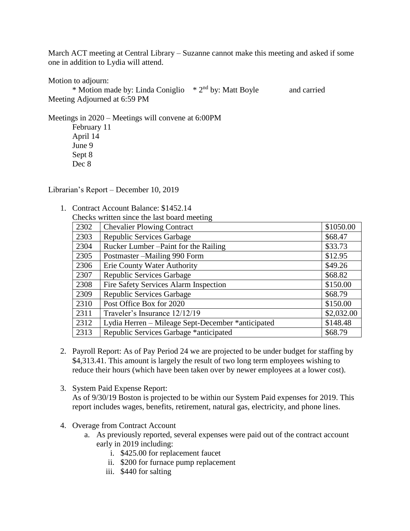March ACT meeting at Central Library – Suzanne cannot make this meeting and asked if some one in addition to Lydia will attend.

Motion to adjourn:

Dec 8

\* Motion made by: Linda Coniglio  $* 2<sup>nd</sup>$  by: Matt Boyle and carried Meeting Adjourned at 6:59 PM

Meetings in 2020 – Meetings will convene at 6:00PM February 11 April 14 June 9 Sept 8

Librarian's Report – December 10, 2019

1. Contract Account Balance: \$1452.14

|                                             |      | Contract Account Balance: \$1452.14   |            |  |
|---------------------------------------------|------|---------------------------------------|------------|--|
| Checks written since the last board meeting |      |                                       |            |  |
|                                             | 2302 | <b>Chevalier Plowing Contract</b>     | \$1050.00  |  |
|                                             | 2303 | Republic Services Garbage             | \$68.47    |  |
|                                             | 2304 | Rucker Lumber – Paint for the Railing | \$33.73    |  |
|                                             | 2305 | Postmaster – Mailing 990 Form         | \$12.95    |  |
|                                             | 2306 | <b>Erie County Water Authority</b>    | \$49.26    |  |
|                                             | 2307 | <b>Republic Services Garbage</b>      | \$68.82    |  |
|                                             | 2308 | Fire Safety Services Alarm Inspection | \$150.00   |  |
|                                             | 2309 | Republic Services Garbage             | \$68.79    |  |
|                                             | 2310 | Post Office Box for 2020              | \$150.00   |  |
|                                             | 2311 | Traveler's Insurance 12/12/19         | \$2,032.00 |  |

2. Payroll Report: As of Pay Period 24 we are projected to be under budget for staffing by \$4,313.41. This amount is largely the result of two long term employees wishing to reduce their hours (which have been taken over by newer employees at a lower cost).

2312 Lydia Herren – Mileage Sept-December \*anticipated \$148.48 2313 Republic Services Garbage \*anticipated \$68.79

3. System Paid Expense Report:

As of 9/30/19 Boston is projected to be within our System Paid expenses for 2019. This report includes wages, benefits, retirement, natural gas, electricity, and phone lines.

- 4. Overage from Contract Account
	- a. As previously reported, several expenses were paid out of the contract account early in 2019 including:
		- i. \$425.00 for replacement faucet
		- ii. \$200 for furnace pump replacement
		- iii. \$440 for salting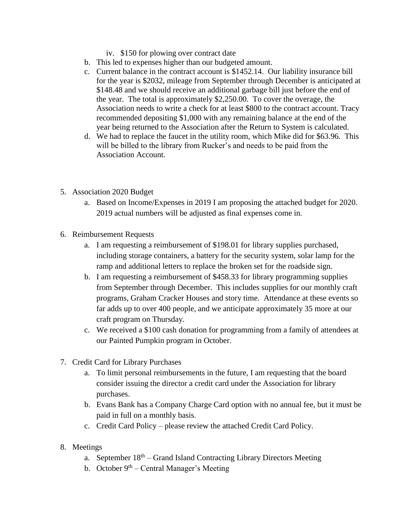- iv. \$150 for plowing over contract date
- b. This led to expenses higher than our budgeted amount.
- c. Current balance in the contract account is \$1452.14. Our liability insurance bill for the year is \$2032, mileage from September through December is anticipated at \$148.48 and we should receive an additional garbage bill just before the end of the year. The total is approximately \$2,250.00. To cover the overage, the Association needs to write a check for at least \$800 to the contract account. Tracy recommended depositing \$1,000 with any remaining balance at the end of the year being returned to the Association after the Return to System is calculated.
- d. We had to replace the faucet in the utility room, which Mike did for \$63.96. This will be billed to the library from Rucker's and needs to be paid from the Association Account.
- 5. Association 2020 Budget
	- a. Based on Income/Expenses in 2019 I am proposing the attached budget for 2020. 2019 actual numbers will be adjusted as final expenses come in.
- 6. Reimbursement Requests
	- a. I am requesting a reimbursement of \$198.01 for library supplies purchased, including storage containers, a battery for the security system, solar lamp for the ramp and additional letters to replace the broken set for the roadside sign.
	- b. I am requesting a reimbursement of \$458.33 for library programming supplies from September through December. This includes supplies for our monthly craft programs, Graham Cracker Houses and story time. Attendance at these events so far adds up to over 400 people, and we anticipate approximately 35 more at our craft program on Thursday.
	- c. We received a \$100 cash donation for programming from a family of attendees at our Painted Pumpkin program in October.
- 7. Credit Card for Library Purchases
	- a. To limit personal reimbursements in the future, I am requesting that the board consider issuing the director a credit card under the Association for library purchases.
	- b. Evans Bank has a Company Charge Card option with no annual fee, but it must be paid in full on a monthly basis.
	- c. Credit Card Policy please review the attached Credit Card Policy.
- 8. Meetings
	- a. September 18<sup>th</sup> Grand Island Contracting Library Directors Meeting
	- b. October  $9<sup>th</sup>$  Central Manager's Meeting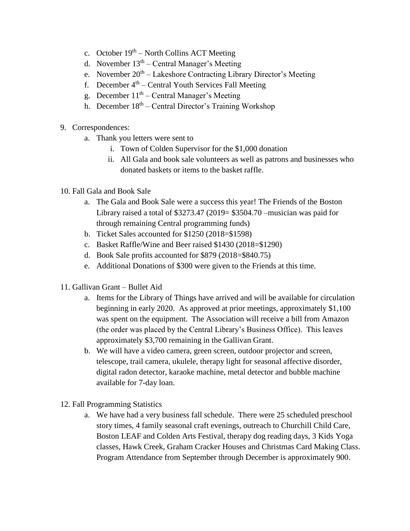- c. October  $19<sup>th</sup>$  North Collins ACT Meeting
- d. November 13<sup>th</sup> Central Manager's Meeting
- e. November 20<sup>th</sup> Lakeshore Contracting Library Director's Meeting
- f. December  $4<sup>th</sup>$  Central Youth Services Fall Meeting
- g. December  $11<sup>th</sup>$  Central Manager's Meeting
- h. December 18<sup>th</sup> Central Director's Training Workshop
- 9. Correspondences:
	- a. Thank you letters were sent to
		- i. Town of Colden Supervisor for the \$1,000 donation
		- ii. All Gala and book sale volunteers as well as patrons and businesses who donated baskets or items to the basket raffle.
- 10. Fall Gala and Book Sale
	- a. The Gala and Book Sale were a success this year! The Friends of the Boston Library raised a total of \$3273.47 (2019= \$3504.70 –musician was paid for through remaining Central programming funds)
	- b. Ticket Sales accounted for \$1250 (2018=\$1598)
	- c. Basket Raffle/Wine and Beer raised \$1430 (2018=\$1290)
	- d. Book Sale profits accounted for \$879 (2018=\$840.75)
	- e. Additional Donations of \$300 were given to the Friends at this time.
- 11. Gallivan Grant Bullet Aid
	- a. Items for the Library of Things have arrived and will be available for circulation beginning in early 2020. As approved at prior meetings, approximately \$1,100 was spent on the equipment. The Association will receive a bill from Amazon (the order was placed by the Central Library's Business Office). This leaves approximately \$3,700 remaining in the Gallivan Grant.
	- b. We will have a video camera, green screen, outdoor projector and screen, telescope, trail camera, ukulele, therapy light for seasonal affective disorder, digital radon detector, karaoke machine, metal detector and bubble machine available for 7-day loan.
- 12. Fall Programming Statistics
	- a. We have had a very business fall schedule. There were 25 scheduled preschool story times, 4 family seasonal craft evenings, outreach to Churchill Child Care, Boston LEAF and Colden Arts Festival, therapy dog reading days, 3 Kids Yoga classes, Hawk Creek, Graham Cracker Houses and Christmas Card Making Class. Program Attendance from September through December is approximately 900.